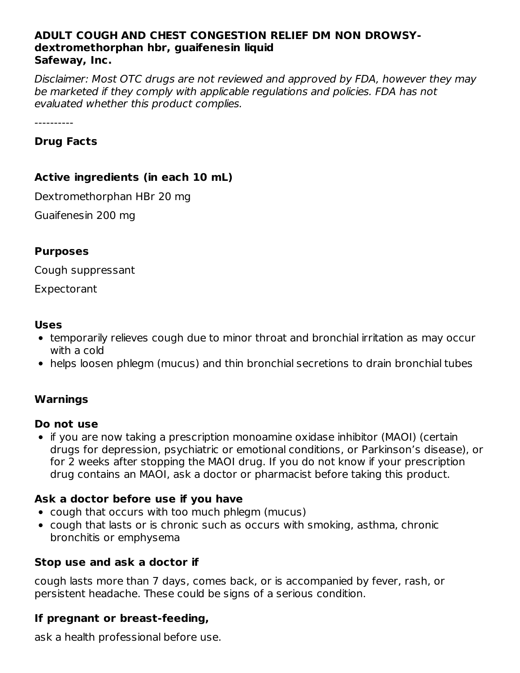#### **ADULT COUGH AND CHEST CONGESTION RELIEF DM NON DROWSYdextromethorphan hbr, guaifenesin liquid Safeway, Inc.**

Disclaimer: Most OTC drugs are not reviewed and approved by FDA, however they may be marketed if they comply with applicable regulations and policies. FDA has not evaluated whether this product complies.

## **Drug Facts**

## **Active ingredients (in each 10 mL)**

Dextromethorphan HBr 20 mg

Guaifenesin 200 mg

#### **Purposes**

Cough suppressant

Expectorant

#### **Uses**

- temporarily relieves cough due to minor throat and bronchial irritation as may occur with a cold
- helps loosen phlegm (mucus) and thin bronchial secretions to drain bronchial tubes

## **Warnings**

## **Do not use**

• if you are now taking a prescription monoamine oxidase inhibitor (MAOI) (certain drugs for depression, psychiatric or emotional conditions, or Parkinson's disease), or for 2 weeks after stopping the MAOI drug. If you do not know if your prescription drug contains an MAOI, ask a doctor or pharmacist before taking this product.

## **Ask a doctor before use if you have**

- cough that occurs with too much phlegm (mucus)
- cough that lasts or is chronic such as occurs with smoking, asthma, chronic bronchitis or emphysema

## **Stop use and ask a doctor if**

cough lasts more than 7 days, comes back, or is accompanied by fever, rash, or persistent headache. These could be signs of a serious condition.

## **If pregnant or breast-feeding,**

ask a health professional before use.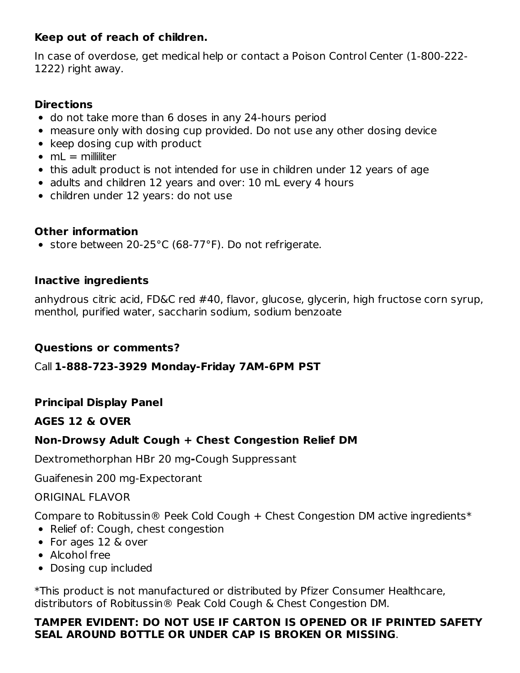## **Keep out of reach of children.**

In case of overdose, get medical help or contact a Poison Control Center (1-800-222- 1222) right away.

#### **Directions**

- do not take more than 6 doses in any 24-hours period
- measure only with dosing cup provided. Do not use any other dosing device
- $\bullet$  keep dosing cup with product
- $emL =$  milliliter
- this adult product is not intended for use in children under 12 years of age
- adults and children 12 years and over: 10 mL every 4 hours
- children under 12 years: do not use

## **Other information**

• store between 20-25°C (68-77°F). Do not refrigerate.

## **Inactive ingredients**

anhydrous citric acid, FD&C red #40, flavor, glucose, glycerin, high fructose corn syrup, menthol, purified water, saccharin sodium, sodium benzoate

## **Questions or comments?**

Call **1-888-723-3929 Monday-Friday 7AM-6PM PST**

## **Principal Display Panel**

## **AGES 12 & OVER**

## **Non-Drowsy Adult Cough + Chest Congestion Relief DM**

Dextromethorphan HBr 20 mg**-**Cough Suppressant

Guaifenesin 200 mg-Expectorant

#### ORIGINAL FLAVOR

Compare to Robitussin® Peek Cold Cough + Chest Congestion DM active ingredients\*

- Relief of: Cough, chest congestion
- For ages 12 & over
- Alcohol free
- Dosing cup included

\*This product is not manufactured or distributed by Pfizer Consumer Healthcare, distributors of Robitussin® Peak Cold Cough & Chest Congestion DM.

## **TAMPER EVIDENT: DO NOT USE IF CARTON IS OPENED OR IF PRINTED SAFETY SEAL AROUND BOTTLE OR UNDER CAP IS BROKEN OR MISSING**.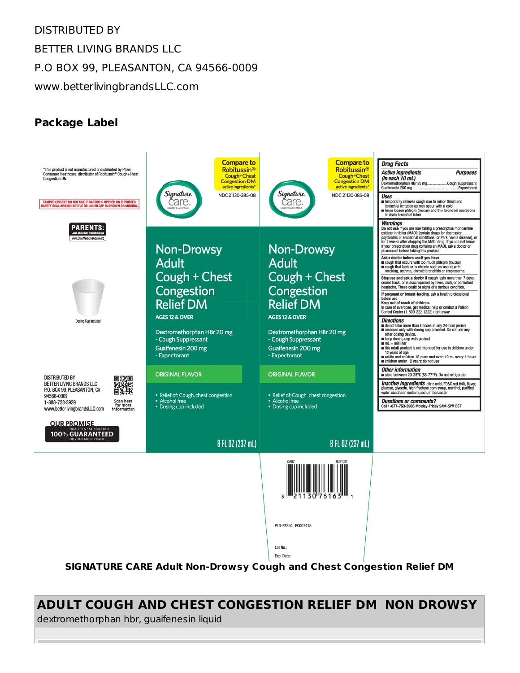# DISTRIBUTED BY BETTER LIVING BRANDS LLC P.O BOX 99, PLEASANTON, CA 94566-0009 www.betterlivingbrandsLLC.com

# **Package Label**



**ADULT COUGH AND CHEST CONGESTION RELIEF DM NON DROWSY** dextromethorphan hbr, guaifenesin liquid